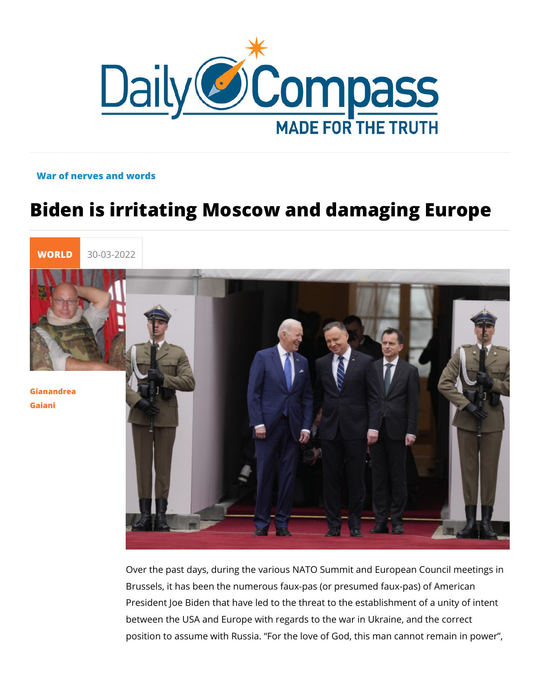## War of nerves and words

## Biden is irritating Moscow and damaging

[WORL](https://newdailycompass.com/en/world)I 30-03-2022

[Gianandr](/en/gianandrea-gaiani-1)ea [Gaia](/en/gianandrea-gaiani-1)ni

> Over the past days, during the various NATO Summit and Euro Brussels, it has been the numerous faux-pas (or presumed fau President Joe Biden that have led to the threat to the establis between the USA and Europe with regards to the war in Ukrain position to assume with Russia. For the love of God, this man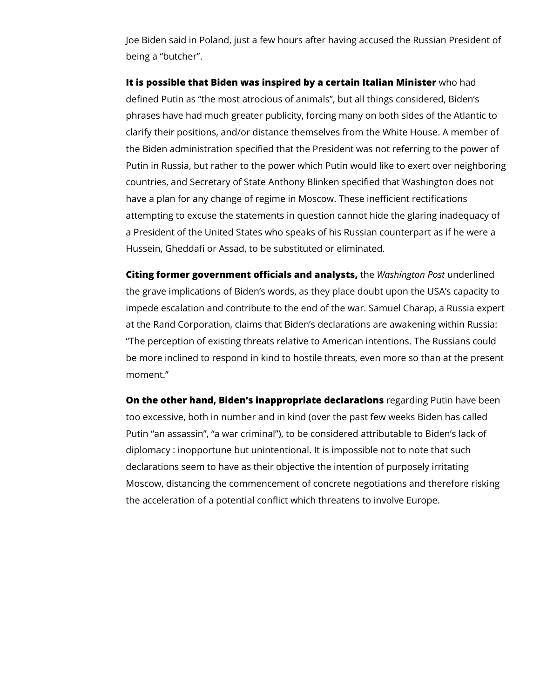Joe Biden said in Poland, just a few hours after having accused the Russian President of being a "butcher".

**It is possible that Biden was inspired by a certain Italian Minister** who had defined Putin as "the most atrocious of animals", but all things considered, Biden's phrases have had much greater publicity, forcing many on both sides of the Atlantic to clarify their positions, and/or distance themselves from the White House. A member of the Biden administration specified that the President was not referring to the power of Putin in Russia, but rather to the power which Putin would like to exert over neighboring countries, and Secretary of State Anthony Blinken specified that Washington does not have a plan for any change of regime in Moscow. These inefficient rectifications attempting to excuse the statements in question cannot hide the glaring inadequacy of a President of the United States who speaks of his Russian counterpart as if he were a Hussein, Gheddafi or Assad, to be substituted or eliminated.

**Citing former government officials and analysts,** the *Washington Post* underlined the grave implications of Biden's words, as they place doubt upon the USA's capacity to impede escalation and contribute to the end of the war. Samuel Charap, a Russia expert at the Rand Corporation, claims that Biden's declarations are awakening within Russia: "The perception of existing threats relative to American intentions. The Russians could be more inclined to respond in kind to hostile threats, even more so than at the present moment."

**On the other hand, Biden's inappropriate declarations** regarding Putin have been too excessive, both in number and in kind (over the past few weeks Biden has called Putin "an assassin", "a war criminal"), to be considered attributable to Biden's lack of diplomacy : inopportune but unintentional. It is impossible not to note that such declarations seem to have as their objective the intention of purposely irritating Moscow, distancing the commencement of concrete negotiations and therefore risking the acceleration of a potential conflict which threatens to involve Europe.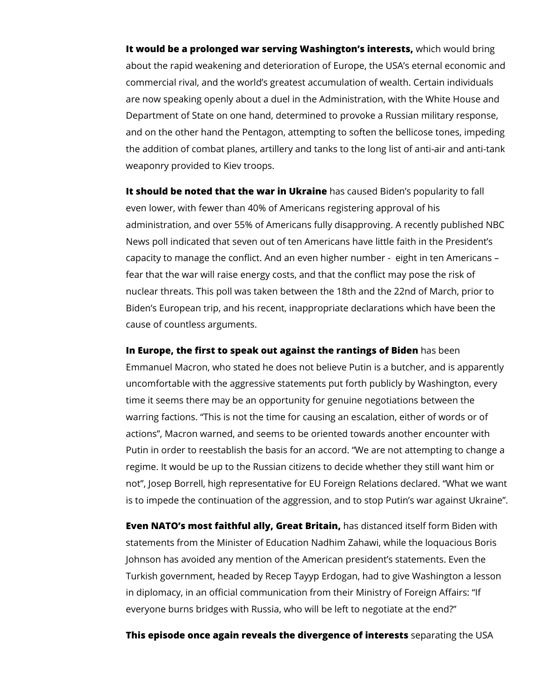**It would be a prolonged war serving Washington's interests,** which would bring about the rapid weakening and deterioration of Europe, the USA's eternal economic and commercial rival, and the world's greatest accumulation of wealth. Certain individuals are now speaking openly about a duel in the Administration, with the White House and Department of State on one hand, determined to provoke a Russian military response, and on the other hand the Pentagon, attempting to soften the bellicose tones, impeding the addition of combat planes, artillery and tanks to the long list of anti-air and anti-tank weaponry provided to Kiev troops.

**It should be noted that the war in Ukraine** has caused Biden's popularity to fall even lower, with fewer than 40% of Americans registering approval of his administration, and over 55% of Americans fully disapproving. A recently published NBC News poll indicated that seven out of ten Americans have little faith in the President's capacity to manage the conflict. And an even higher number - eight in ten Americans – fear that the war will raise energy costs, and that the conflict may pose the risk of nuclear threats. This poll was taken between the 18th and the 22nd of March, prior to Biden's European trip, and his recent, inappropriate declarations which have been the cause of countless arguments.

**In Europe, the first to speak out against the rantings of Biden** has been Emmanuel Macron, who stated he does not believe Putin is a butcher, and is apparently uncomfortable with the aggressive statements put forth publicly by Washington, every time it seems there may be an opportunity for genuine negotiations between the warring factions. "This is not the time for causing an escalation, either of words or of actions", Macron warned, and seems to be oriented towards another encounter with Putin in order to reestablish the basis for an accord. "We are not attempting to change a regime. It would be up to the Russian citizens to decide whether they still want him or not", Josep Borrell, high representative for EU Foreign Relations declared. "What we want is to impede the continuation of the aggression, and to stop Putin's war against Ukraine".

**Even NATO's most faithful ally, Great Britain,** has distanced itself form Biden with statements from the Minister of Education Nadhim Zahawi, while the loquacious Boris Johnson has avoided any mention of the American president's statements. Even the Turkish government, headed by Recep Tayyp Erdogan, had to give Washington a lesson in diplomacy, in an official communication from their Ministry of Foreign Affairs: "If everyone burns bridges with Russia, who will be left to negotiate at the end?"

**This episode once again reveals the divergence of interests** separating the USA